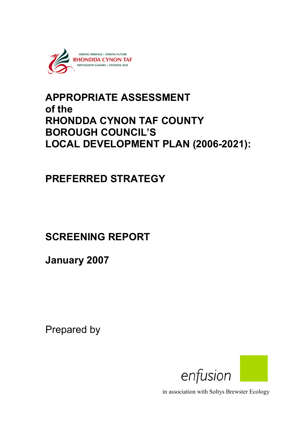

# APPROPRIATE ASSESSMENT of the RHONDDA CYNON TAF COUNTY BOROUGH COUNCIL'S LOCAL DEVELOPMENT PLAN (2006-2021):

# PREFERRED STRATEGY

# SCREENING REPORT

January 2007

Prepared by



in association with Soltys Brewster Ecology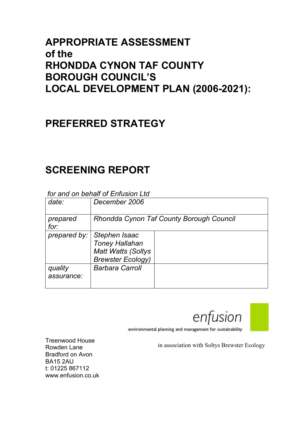## APPROPRIATE ASSESSMENT of the RHONDDA CYNON TAF COUNTY BOROUGH COUNCIL'S LOCAL DEVELOPMENT PLAN (2006-2021):

# PREFERRED STRATEGY

# SCREENING REPORT

## for and on behalf of Enfusion Ltd.

| date:                 | December 2006                                                                                   |  |  |
|-----------------------|-------------------------------------------------------------------------------------------------|--|--|
| prepared<br>for:      | Rhondda Cynon Taf County Borough Council                                                        |  |  |
| prepared by:          | Stephen Isaac<br><b>Toney Hallahan</b><br><b>Matt Watts (Soltys</b><br><b>Brewster Ecology)</b> |  |  |
| quality<br>assurance: | <b>Barbara Carroll</b>                                                                          |  |  |

environmental planning and management for sustainability

in association with Soltys Brewster Ecology

enfusion

Treenwood House Rowden Lane Bradford on Avon BA15 2AU t: 01225 867112 www.enfusion.co.uk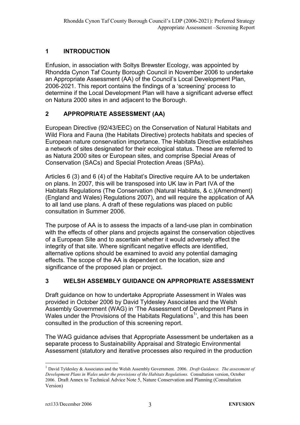## 1 INTRODUCTION

Enfusion, in association with Soltys Brewster Ecology, was appointed by Rhondda Cynon Taf County Borough Council in November 2006 to undertake an Appropriate Assessment (AA) of the Council's Local Development Plan, 2006-2021. This report contains the findings of a 'screening' process to determine if the Local Development Plan will have a significant adverse effect on Natura 2000 sites in and adjacent to the Borough.

## 2 APPROPRIATE ASSESSMENT (AA)

European Directive (92/43/EEC) on the Conservation of Natural Habitats and Wild Flora and Fauna (the Habitats Directive) protects habitats and species of European nature conservation importance. The Habitats Directive establishes a network of sites designated for their ecological status. These are referred to as Natura 2000 sites or European sites, and comprise Special Areas of Conservation (SACs) and Special Protection Areas (SPAs).

Articles 6 (3) and 6 (4) of the Habitat's Directive require AA to be undertaken on plans. In 2007, this will be transposed into UK law in Part IVA of the Habitats Regulations (The Conservation (Natural Habitats, & c.)(Amendment) (England and Wales) Regulations 2007), and will require the application of AA to all land use plans. A draft of these regulations was placed on public consultation in Summer 2006.

The purpose of AA is to assess the impacts of a land-use plan in combination with the effects of other plans and projects against the conservation objectives of a European Site and to ascertain whether it would adversely affect the integrity of that site. Where significant negative effects are identified. alternative options should be examined to avoid any potential damaging effects. The scope of the AA is dependent on the location, size and significance of the proposed plan or project.

## 3 WELSH ASSEMBLY GUIDANCE ON APPROPRIATE ASSESSMENT

Draft guidance on how to undertake Appropriate Assessment in Wales was provided in October 2006 by David Tyldesley Associates and the Welsh Assembly Government (WAG) in 'The Assessment of Development Plans in Wales under the Provisions of the Habitats Regulations<sup>1</sup>', and this has been consulted in the production of this screening report.

The WAG guidance advises that Appropriate Assessment be undertaken as a separate process to Sustainability Appraisal and Strategic Environmental Assessment (statutory and iterative processes also required in the production

 $\overline{a}$ 

<sup>&</sup>lt;sup>1</sup> David Tyldesley & Associates and the Welsh Assembly Government. 2006. *Draft Guidance. The assessment of* Development Plans in Wales under the provisions of the Habitats Regulations. Consultation version, October 2006. Draft Annex to Technical Advice Note 5, Nature Conservation and Planning (Consultation Version)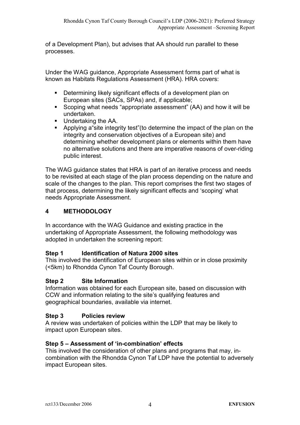of a Development Plan), but advises that AA should run parallel to these processes.

Under the WAG guidance, Appropriate Assessment forms part of what is known as Habitats Regulations Assessment (HRA). HRA covers:

- Determining likely significant effects of a development plan on European sites (SACs, SPAs) and, if applicable;
- Scoping what needs "appropriate assessment" (AA) and how it will be undertaken.
- **Undertaking the AA.**
- Applying a"site integrity test"(to determine the impact of the plan on the integrity and conservation objectives of a European site) and determining whether development plans or elements within them have no alternative solutions and there are imperative reasons of over-riding public interest.

The WAG guidance states that HRA is part of an iterative process and needs to be revisited at each stage of the plan process depending on the nature and scale of the changes to the plan. This report comprises the first two stages of that process, determining the likely significant effects and 'scoping' what needs Appropriate Assessment.

## 4 METHODOLOGY

In accordance with the WAG Guidance and existing practice in the undertaking of Appropriate Assessment, the following methodology was adopted in undertaken the screening report:

#### Step 1 Identification of Natura 2000 sites

This involved the identification of European sites within or in close proximity (<5km) to Rhondda Cynon Taf County Borough.

#### Step 2 Site Information

Information was obtained for each European site, based on discussion with CCW and information relating to the site's qualifying features and geographical boundaries, available via internet.

#### Step 3 Policies review

A review was undertaken of policies within the LDP that may be likely to impact upon European sites.

#### Step 5 – Assessment of 'in-combination' effects

This involved the consideration of other plans and programs that may, incombination with the Rhondda Cynon Taf LDP have the potential to adversely impact European sites.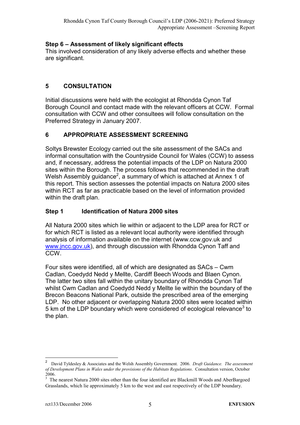### Step 6 – Assessment of likely significant effects

This involved consideration of any likely adverse effects and whether these are significant.

### 5 CONSULTATION

Initial discussions were held with the ecologist at Rhondda Cynon Taf Borough Council and contact made with the relevant officers at CCW. Formal consultation with CCW and other consultees will follow consultation on the Preferred Strategy in January 2007.

## 6 APPROPRIATE ASSESSMENT SCREENING

Soltys Brewster Ecology carried out the site assessment of the SACs and informal consultation with the Countryside Council for Wales (CCW) to assess and, if necessary, address the potential impacts of the LDP on Natura 2000 sites within the Borough. The process follows that recommended in the draft Welsh Assembly guidance<sup>2</sup>, a summary of which is attached at Annex 1 of this report. This section assesses the potential impacts on Natura 2000 sites within RCT as far as practicable based on the level of information provided within the draft plan.

### Step 1 Identification of Natura 2000 sites

All Natura 2000 sites which lie within or adjacent to the LDP area for RCT or for which RCT is listed as a relevant local authority were identified through analysis of information available on the internet (www.ccw.gov.uk and www.jncc.gov.uk), and through discussion with Rhondda Cynon Taff and CCW.

Four sites were identified, all of which are designated as SACs – Cwm Cadlan, Coedydd Nedd y Mellte, Cardiff Beech Woods and Blaen Cynon. The latter two sites fall within the unitary boundary of Rhondda Cynon Taf whilst Cwm Cadlan and Coedydd Nedd y Mellte lie within the boundary of the Brecon Beacons National Park, outside the prescribed area of the emerging LDP. No other adjacent or overlapping Natura 2000 sites were located within 5 km of the LDP boundary which were considered of ecological relevance<sup>3</sup> to the plan.

 $\overline{a}$ 

<sup>2</sup> David Tyldesley & Associates and the Welsh Assembly Government. 2006. Draft Guidance. The assessment of Development Plans in Wales under the provisions of the Habitats Regulations. Consultation version, October 2006.

<sup>&</sup>lt;sup>3</sup> The nearest Natura 2000 sites other than the four identified are Blackmill Woods and AberBargoed Grasslands, which lie approximately 5 km to the west and east respectively of the LDP boundary.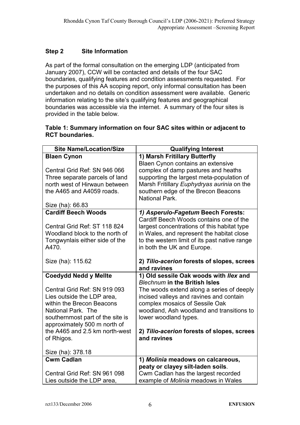### Step 2 Site Information

As part of the formal consultation on the emerging LDP (anticipated from January 2007), CCW will be contacted and details of the four SAC boundaries, qualifying features and condition assessments requested. For the purposes of this AA scoping report, only informal consultation has been undertaken and no details on condition assessment were available. Generic information relating to the site's qualifying features and geographical boundaries was accessible via the internet. A summary of the four sites is provided in the table below.

#### Table 1: Summary information on four SAC sites within or adjacent to RCT boundaries.

| <b>Site Name/Location/Size</b>                                                                                                                                                    | <b>Qualifying Interest</b>                                                                                                                                                                                                          |  |
|-----------------------------------------------------------------------------------------------------------------------------------------------------------------------------------|-------------------------------------------------------------------------------------------------------------------------------------------------------------------------------------------------------------------------------------|--|
| <b>Blaen Cynon</b>                                                                                                                                                                | 1) Marsh Fritillary Butterfly                                                                                                                                                                                                       |  |
| Central Grid Ref: SN 946 066<br>Three separate parcels of land<br>north west of Hirwaun between<br>the A465 and A4059 roads.<br>Size (ha): 66.83                                  | Blaen Cynon contains an extensive<br>complex of damp pastures and heaths<br>supporting the largest meta-population of<br>Marsh Fritillary Euphydryas aurinia on the<br>southern edge of the Brecon Beacons<br><b>National Park.</b> |  |
| <b>Cardiff Beech Woods</b>                                                                                                                                                        | 1) Asperulo-Fagetum Beech Forests:                                                                                                                                                                                                  |  |
| Central Grid Ref: ST 118 824<br>Woodland block to the north of<br>Tongwynlais either side of the<br>A470.                                                                         | Cardiff Beech Woods contains one of the<br>largest concentrations of this habitat type<br>in Wales, and represent the habitat close<br>to the western limit of its past native range<br>in both the UK and Europe.                  |  |
| Size (ha): 115.62                                                                                                                                                                 | 2) Tilio-acerion forests of slopes, screes<br>and ravines                                                                                                                                                                           |  |
| <b>Coedydd Nedd y Mellte</b>                                                                                                                                                      | 1) Old sessile Oak woods with Ilex and<br><b>Blechnum in the British Isles</b>                                                                                                                                                      |  |
| Central Grid Ref: SN 919 093<br>Lies outside the LDP area,<br>within the Brecon Beacons<br>National Park. The<br>southernmost part of the site is<br>approximately 500 m north of | The woods extend along a series of deeply<br>incised valleys and ravines and contain<br>complex mosaics of Sessile Oak<br>woodland, Ash woodland and transitions to<br>lower woodland types.                                        |  |
| the A465 and 2.5 km north-west<br>of Rhigos.                                                                                                                                      | 2) Tilio-acerion forests of slopes, screes<br>and ravines                                                                                                                                                                           |  |
|                                                                                                                                                                                   |                                                                                                                                                                                                                                     |  |
| Size (ha): 378.18                                                                                                                                                                 |                                                                                                                                                                                                                                     |  |
| <b>Cwm Cadlan</b>                                                                                                                                                                 | 1) Molinia meadows on calcareous,                                                                                                                                                                                                   |  |
| Central Grid Ref: SN 961 098                                                                                                                                                      | peaty or clayey silt-laden soils.<br>Cwm Cadlan has the largest recorded                                                                                                                                                            |  |
| Lies outside the LDP area,                                                                                                                                                        | example of Molinia meadows in Wales                                                                                                                                                                                                 |  |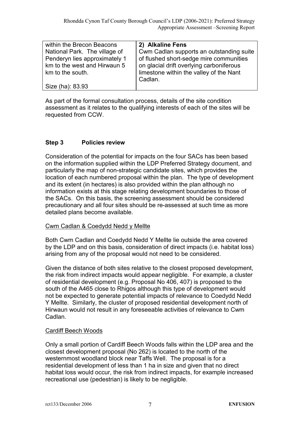| within the Brecon Beacons     | 2) Alkaline Fens                         |
|-------------------------------|------------------------------------------|
| National Park. The village of | Cwm Cadlan supports an outstanding suite |
| Penderyn lies approximately 1 | of flushed short-sedge mire communities  |
| km to the west and Hirwaun 5  | on glacial drift overlying carboniferous |
| km to the south.              | limestone within the valley of the Nant  |
|                               | Cadlan.                                  |
| Size (ha): 83.93              |                                          |

As part of the formal consultation process, details of the site condition assessment as it relates to the qualifying interests of each of the sites will be requested from CCW.

#### Step 3 Policies review

Consideration of the potential for impacts on the four SACs has been based on the information supplied within the LDP Preferred Strategy document, and particularly the map of non-strategic candidate sites, which provides the location of each numbered proposal within the plan. The type of development and its extent (in hectares) is also provided within the plan although no information exists at this stage relating development boundaries to those of the SACs. On this basis, the screening assessment should be considered precautionary and all four sites should be re-assessed at such time as more detailed plans become available.

#### Cwm Cadlan & Coedydd Nedd y Mellte

Both Cwm Cadlan and Coedydd Nedd Y Mellte lie outside the area covered by the LDP and on this basis, consideration of direct impacts (i.e. habitat loss) arising from any of the proposal would not need to be considered.

Given the distance of both sites relative to the closest proposed development, the risk from indirect impacts would appear negligible. For example, a cluster of residential development (e.g. Proposal No 406, 407) is proposed to the south of the A465 close to Rhigos although this type of development would not be expected to generate potential impacts of relevance to Coedydd Nedd Y Mellte. Similarly, the cluster of proposed residential development north of Hirwaun would not result in any foreseeable activities of relevance to Cwm Cadlan.

#### Cardiff Beech Woods

Only a small portion of Cardiff Beech Woods falls within the LDP area and the closest development proposal (No 262) is located to the north of the westernmost woodland block near Taffs Well. The proposal is for a residential development of less than 1 ha in size and given that no direct habitat loss would occur, the risk from indirect impacts, for example increased recreational use (pedestrian) is likely to be negligible.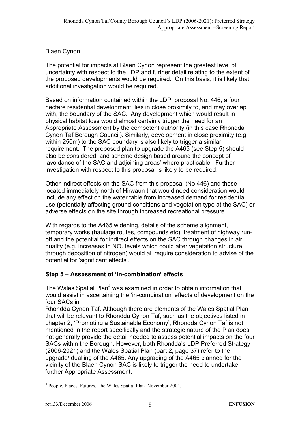#### Blaen Cynon

The potential for impacts at Blaen Cynon represent the greatest level of uncertainty with respect to the LDP and further detail relating to the extent of the proposed developments would be required. On this basis, it is likely that additional investigation would be required.

Based on information contained within the LDP, proposal No. 446, a four hectare residential development, lies in close proximity to, and may overlap with, the boundary of the SAC. Any development which would result in physical habitat loss would almost certainly trigger the need for an Appropriate Assessment by the competent authority (in this case Rhondda Cynon Taf Borough Council). Similarly, development in close proximity (e.g. within 250m) to the SAC boundary is also likely to trigger a similar requirement. The proposed plan to upgrade the A465 (see Step 5) should also be considered, and scheme design based around the concept of 'avoidance of the SAC and adjoining areas' where practicable. Further investigation with respect to this proposal is likely to be required.

Other indirect effects on the SAC from this proposal (No 446) and those located immediately north of Hirwaun that would need consideration would include any effect on the water table from increased demand for residential use (potentially affecting ground conditions and vegetation type at the SAC) or adverse effects on the site through increased recreational pressure.

With regards to the A465 widening, details of the scheme alignment, temporary works (haulage routes, compounds etc), treatment of highway runoff and the potential for indirect effects on the SAC through changes in air quality (e.g. increases in  $NO<sub>x</sub>$  levels which could alter vegetation structure through deposition of nitrogen) would all require consideration to advise of the potential for 'significant effects'.

#### Step 5 – Assessment of 'in-combination' effects

The Wales Spatial Plan<sup>4</sup> was examined in order to obtain information that would assist in ascertaining the 'in-combination' effects of development on the four SACs in

Rhondda Cynon Taf. Although there are elements of the Wales Spatial Plan that will be relevant to Rhondda Cynon Taf, such as the objectives listed in chapter 2, 'Promoting a Sustainable Economy', Rhondda Cynon Taf is not mentioned in the report specifically and the strategic nature of the Plan does not generally provide the detail needed to assess potential impacts on the four SACs within the Borough. However, both Rhondda's LDP Preferred Strategy (2006-2021) and the Wales Spatial Plan (part 2, page 37) refer to the upgrade/ dualling of the A465. Any upgrading of the A465 planned for the vicinity of the Blaen Cynon SAC is likely to trigger the need to undertake further Appropriate Assessment.

 $\overline{a}$ 4 People, Places, Futures. The Wales Spatial Plan. November 2004.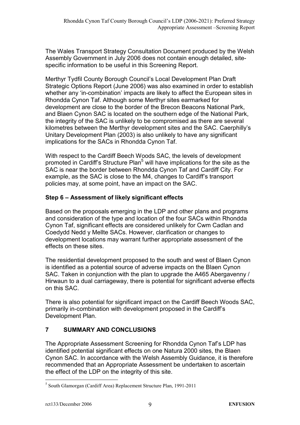The Wales Transport Strategy Consultation Document produced by the Welsh Assembly Government in July 2006 does not contain enough detailed, sitespecific information to be useful in this Screening Report.

Merthyr Tydfil County Borough Council's Local Development Plan Draft Strategic Options Report (June 2006) was also examined in order to establish whether any 'in-combination' impacts are likely to affect the European sites in Rhondda Cynon Taf. Although some Merthyr sites earmarked for development are close to the border of the Brecon Beacons National Park, and Blaen Cynon SAC is located on the southern edge of the National Park, the integrity of the SAC is unlikely to be compromised as there are several kilometres between the Merthyr development sites and the SAC. Caerphilly's Unitary Development Plan (2003) is also unlikely to have any significant implications for the SACs in Rhondda Cynon Taf.

With respect to the Cardiff Beech Woods SAC, the levels of development promoted in Cardiff's Structure Plan<sup>5</sup> will have implications for the site as the SAC is near the border between Rhondda Cynon Taf and Cardiff City. For example, as the SAC is close to the M4, changes to Cardiff's transport policies may, at some point, have an impact on the SAC.

### Step 6 – Assessment of likely significant effects

Based on the proposals emerging in the LDP and other plans and programs and consideration of the type and location of the four SACs within Rhondda Cynon Taf, significant effects are considered unlikely for Cwm Cadlan and Coedydd Nedd y Mellte SACs. However, clarification or changes to development locations may warrant further appropriate assessment of the effects on these sites.

The residential development proposed to the south and west of Blaen Cynon is identified as a potential source of adverse impacts on the Blaen Cynon SAC. Taken in conjunction with the plan to upgrade the A465 Abergavenny / Hirwaun to a dual carriageway, there is potential for significant adverse effects on this SAC.

There is also potential for significant impact on the Cardiff Beech Woods SAC, primarily in-combination with development proposed in the Cardiff's Development Plan.

## 7 SUMMARY AND CONCLUSIONS

The Appropriate Assessment Screening for Rhondda Cynon Taf's LDP has identified potential significant effects on one Natura 2000 sites, the Blaen Cynon SAC. In accordance with the Welsh Assembly Guidance, it is therefore recommended that an Appropriate Assessment be undertaken to ascertain the effect of the LDP on the integrity of this site.

 $\overline{a}$ 5 South Glamorgan (Cardiff Area) Replacement Structure Plan, 1991-2011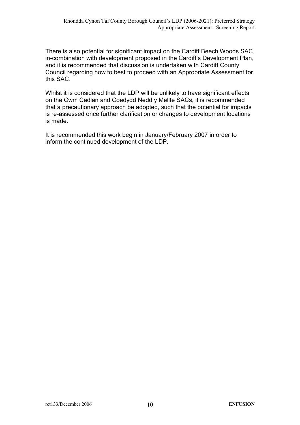There is also potential for significant impact on the Cardiff Beech Woods SAC, in-combination with development proposed in the Cardiff's Development Plan, and it is recommended that discussion is undertaken with Cardiff County Council regarding how to best to proceed with an Appropriate Assessment for this SAC.

Whilst it is considered that the LDP will be unlikely to have significant effects on the Cwm Cadlan and Coedydd Nedd y Mellte SACs, it is recommended that a precautionary approach be adopted, such that the potential for impacts is re-assessed once further clarification or changes to development locations is made.

It is recommended this work begin in January/February 2007 in order to inform the continued development of the LDP.